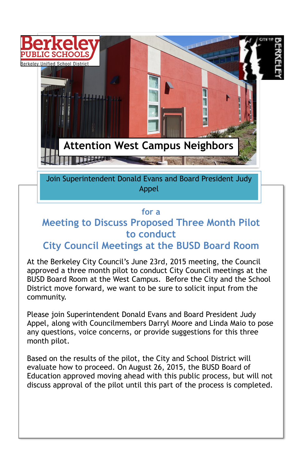### **for a**

## **Meeting to Discuss Proposed Three Month Pilot to conduct**

## **City Council Meetings at the BUSD Board Room**

At the Berkeley City Council's June 23rd, 2015 meeting, the Council approved a three month pilot to conduct City Council meetings at the BUSD Board Room at the West Campus. Before the City and the School District move forward, we want to be sure to solicit input from the community.

Please join Superintendent Donald Evans and Board President Judy Appel, along with Councilmembers Darryl Moore and Linda Maio to pose any questions, voice concerns, or provide suggestions for this three month pilot.

Based on the results of the pilot, the City and School District will evaluate how to proceed. On August 26, 2015, the BUSD Board of Education approved moving ahead with this public process, but will not discuss approval of the pilot until this part of the process is completed.

Join Superintendent Donald Evans and Board President Judy Appel